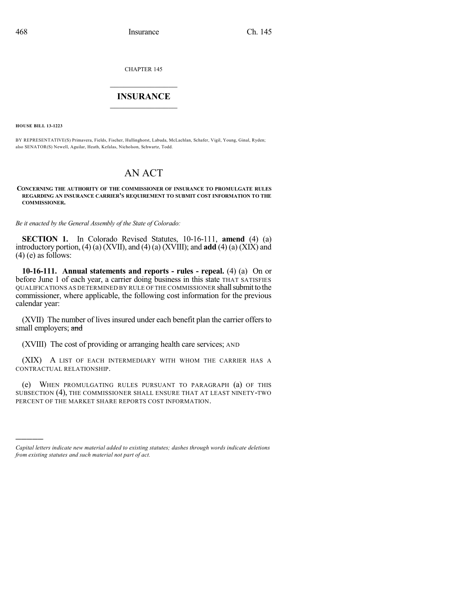CHAPTER 145

## $\overline{\phantom{a}}$  . The set of the set of the set of the set of the set of the set of the set of the set of the set of the set of the set of the set of the set of the set of the set of the set of the set of the set of the set o **INSURANCE**  $\frac{1}{2}$  ,  $\frac{1}{2}$  ,  $\frac{1}{2}$  ,  $\frac{1}{2}$  ,  $\frac{1}{2}$  ,  $\frac{1}{2}$  ,  $\frac{1}{2}$

**HOUSE BILL 13-1223**

)))))

BY REPRESENTATIVE(S) Primavera, Fields, Fischer, Hullinghorst, Labuda, McLachlan, Schafer, Vigil, Young, Ginal, Ryden; also SENATOR(S) Newell, Aguilar, Heath, Kefalas, Nicholson, Schwartz, Todd.

## AN ACT

## **CONCERNING THE AUTHORITY OF THE COMMISSIONER OF INSURANCE TO PROMULGATE RULES REGARDING AN INSURANCE CARRIER'S REQUIREMENT TO SUBMIT COST INFORMATION TO THE COMMISSIONER.**

*Be it enacted by the General Assembly of the State of Colorado:*

**SECTION 1.** In Colorado Revised Statutes, 10-16-111, **amend** (4) (a) introductory portion, (4) (a) (XVII), and (4) (a) (XVIII); and **add** (4) (a) (XIX) and  $(4)$  (e) as follows:

**10-16-111. Annual statements and reports - rules - repeal.** (4) (a) On or before June 1 of each year, a carrier doing business in this state THAT SATISFIES QUALIFICATIONS AS DETERMINED BY RULE OF THE COMMISSIONER shall submit to the commissioner, where applicable, the following cost information for the previous calendar year:

(XVII) The number of lives insured under each benefit plan the carrier offers to small employers; and

(XVIII) The cost of providing or arranging health care services; AND

(XIX) A LIST OF EACH INTERMEDIARY WITH WHOM THE CARRIER HAS A CONTRACTUAL RELATIONSHIP.

(e) WHEN PROMULGATING RULES PURSUANT TO PARAGRAPH (a) OF THIS SUBSECTION (4), THE COMMISSIONER SHALL ENSURE THAT AT LEAST NINETY-TWO PERCENT OF THE MARKET SHARE REPORTS COST INFORMATION.

*Capital letters indicate new material added to existing statutes; dashes through words indicate deletions from existing statutes and such material not part of act.*